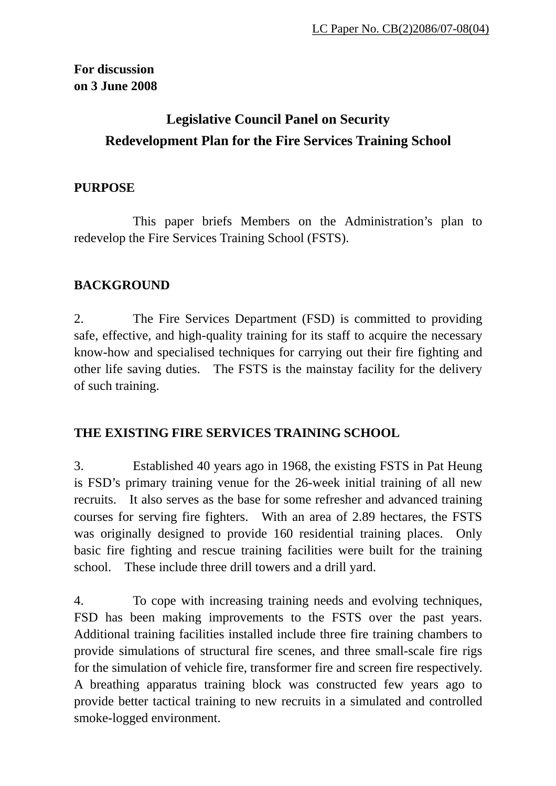**For discussion on 3 June 2008** 

# **Legislative Council Panel on Security Redevelopment Plan for the Fire Services Training School**

## **PURPOSE**

 This paper briefs Members on the Administration's plan to redevelop the Fire Services Training School (FSTS).

## **BACKGROUND**

2. The Fire Services Department (FSD) is committed to providing safe, effective, and high-quality training for its staff to acquire the necessary know-how and specialised techniques for carrying out their fire fighting and other life saving duties. The FSTS is the mainstay facility for the delivery of such training.

### **THE EXISTING FIRE SERVICES TRAINING SCHOOL**

3. Established 40 years ago in 1968, the existing FSTS in Pat Heung is FSD's primary training venue for the 26-week initial training of all new recruits. It also serves as the base for some refresher and advanced training courses for serving fire fighters. With an area of 2.89 hectares, the FSTS was originally designed to provide 160 residential training places. Only basic fire fighting and rescue training facilities were built for the training school. These include three drill towers and a drill yard.

4. To cope with increasing training needs and evolving techniques, FSD has been making improvements to the FSTS over the past years. Additional training facilities installed include three fire training chambers to provide simulations of structural fire scenes, and three small-scale fire rigs for the simulation of vehicle fire, transformer fire and screen fire respectively. A breathing apparatus training block was constructed few years ago to provide better tactical training to new recruits in a simulated and controlled smoke-logged environment.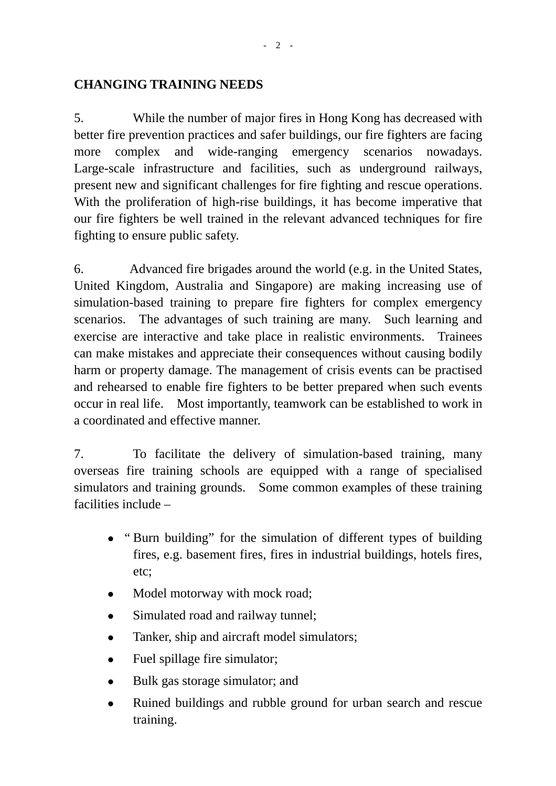## **CHANGING TRAINING NEEDS**

5. While the number of major fires in Hong Kong has decreased with better fire prevention practices and safer buildings, our fire fighters are facing more complex and wide-ranging emergency scenarios nowadays. Large-scale infrastructure and facilities, such as underground railways, present new and significant challenges for fire fighting and rescue operations. With the proliferation of high-rise buildings, it has become imperative that our fire fighters be well trained in the relevant advanced techniques for fire fighting to ensure public safety.

6. Advanced fire brigades around the world (e.g. in the United States, United Kingdom, Australia and Singapore) are making increasing use of simulation-based training to prepare fire fighters for complex emergency scenarios. The advantages of such training are many. Such learning and exercise are interactive and take place in realistic environments. Trainees can make mistakes and appreciate their consequences without causing bodily harm or property damage. The management of crisis events can be practised and rehearsed to enable fire fighters to be better prepared when such events occur in real life. Most importantly, teamwork can be established to work in a coordinated and effective manner.

7. To facilitate the delivery of simulation-based training, many overseas fire training schools are equipped with a range of specialised simulators and training grounds. Some common examples of these training facilities include –

- "Burn building" for the simulation of different types of building fires, e.g. basement fires, fires in industrial buildings, hotels fires, etc;
- Model motorway with mock road;
- Simulated road and railway tunnel;
- Tanker, ship and aircraft model simulators;
- $\bullet$  Fuel spillage fire simulator;
- Bulk gas storage simulator; and
- Ruined buildings and rubble ground for urban search and rescue training.